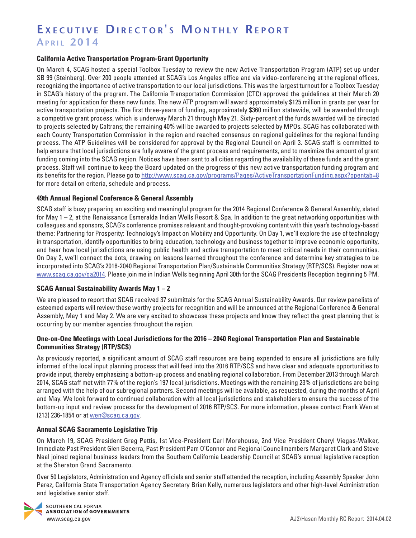#### **California Active Transportation Program-Grant Opportunity**

On March 4, SCAG hosted a special Toolbox Tuesday to review the new Active Transportation Program (ATP) set up under SB 99 (Steinberg). Over 200 people attended at SCAG's Los Angeles office and via video-conferencing at the regional offices, recognizing the importance of active transportation to our local jurisdictions. This was the largest turnout for a Toolbox Tuesday in SCAG's history of the program. The California Transportation Commission (CTC) approved the guidelines at their March 20 meeting for application for these new funds. The new ATP program will award approximately \$125 million in grants per year for active transportation projects. The first three-years of funding, approximately \$360 million statewide, will be awarded through a competitive grant process, which is underway March 21 through May 21. Sixty-percent of the funds awarded will be directed to projects selected by Caltrans; the remaining 40% will be awarded to projects selected by MPOs. SCAG has collaborated with each County Transportation Commission in the region and reached consensus on regional guidelines for the regional funding process. The ATP Guidelines will be considered for approval by the Regional Council on April 3. SCAG staff is committed to help ensure that local jurisdictions are fully aware of the grant process and requirements, and to maximize the amount of grant funding coming into the SCAG region. Notices have been sent to all cities regarding the availability of these funds and the grant process. Staff will continue to keep the Board updated on the progress of this new active transportation funding program and its benefits for the region. Please go to<http://www.scag.ca.gov/programs/Pages/ActiveTransportationFunding.aspx?opentab=8> for more detail on criteria, schedule and process.

### **49th Annual Regional Conference & General Assembly**

SCAG staff is busy preparing an exciting and meaningful program for the 2014 Regional Conference & General Assembly, slated for May 1 – 2, at the Renaissance Esmeralda Indian Wells Resort & Spa. In addition to the great networking opportunities with colleagues and sponsors, SCAG's conference promises relevant and thought-provoking content with this year's technology-based theme: Partnering for Prosperity: Technology's Impact on Mobility and Opportunity. On Day 1, we'll explore the use of technology in transportation, identify opportunities to bring education, technology and business together to improve economic opportunity, and hear how local jurisdictions are using public health and active transportation to meet critical needs in their communities. On Day 2, we'll connect the dots, drawing on lessons learned throughout the conference and determine key strategies to be incorporated into SCAG's 2016-2040 Regional Transportation Plan/Sustainable Communities Strategy (RTP/SCS). Register now at [www.scag.ca.gov/ga2014.](http://www.scag.ca.gov/ga2014) Please join me in Indian Wells beginning April 30th for the SCAG Presidents Reception beginning 5 PM.

#### **SCAG Annual Sustainability Awards May 1 – 2**

We are pleased to report that SCAG received 37 submittals for the SCAG Annual Sustainability Awards. Our review panelists of esteemed experts will review these worthy projects for recognition and will be announced at the Regional Conference & General Assembly, May 1 and May 2. We are very excited to showcase these projects and know they reflect the great planning that is occurring by our member agencies throughout the region.

### **One-on-One Meetings with Local Jurisdictions for the 2016 – 2040 Regional Transportation Plan and Sustainable Communities Strategy (RTP/SCS)**

As previously reported, a significant amount of SCAG staff resources are being expended to ensure all jurisdictions are fully informed of the local input planning process that will feed into the 2016 RTP/SCS and have clear and adequate opportunities to provide input, thereby emphasizing a bottom-up process and enabling regional collaboration. From December 2013 through March 2014, SCAG staff met with 77% of the region's 197 local jurisdictions. Meetings with the remaining 23% of jurisdictions are being arranged with the help of our subregional partners. Second meetings will be available, as requested, during the months of April and May. We look forward to continued collaboration with all local jurisdictions and stakeholders to ensure the success of the bottom-up input and review process for the development of 2016 RTP/SCS. For more information, please contact Frank Wen at (213) 236-1854 or at [wen@scag.ca.gov](mailto:wen@scag.ca.gov).

#### **Annual SCAG Sacramento Legislative Trip**

On March 19, SCAG President Greg Pettis, 1st Vice-President Carl Morehouse, 2nd Vice President Cheryl Viegas-Walker, Immediate Past President Glen Becerra, Past President Pam O'Connor and Regional Councilmembers Margaret Clark and Steve Neal joined regional business leaders from the Southern California Leadership Council at SCAG's annual legislative reception at the Sheraton Grand Sacramento.

Over 50 Legislators, Administration and Agency officials and senior staff attended the reception, including Assembly Speaker John Perez, California State Transportation Agency Secretary Brian Kelly, numerous legislators and other high-level Administration and legislative senior staff.